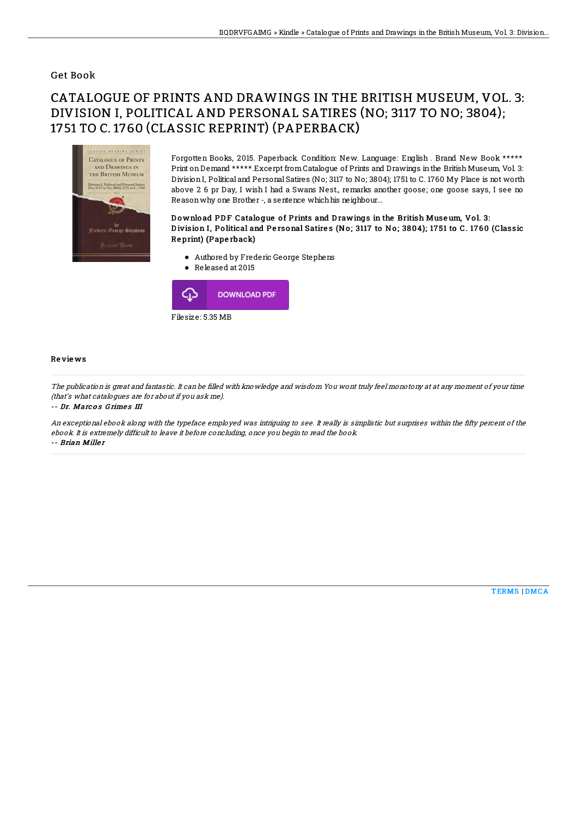### Get Book

# CATALOGUE OF PRINTS AND DRAWINGS IN THE BRITISH MUSEUM, VOL. 3: DIVISION I, POLITICAL AND PERSONAL SATIRES (NO; 3117 TO NO; 3804); 1751 TO C. 1760 (CLASSIC REPRINT) (PAPERBACK)



Forgotten Books, 2015. Paperback. Condition: New. Language: English . Brand New Book \*\*\*\*\* Print onDemand \*\*\*\*\*.Excerpt fromCatalogue of Prints and Drawings inthe British Museum, Vol. 3: DivisionI, Political and Personal Satires (No; 3117 to No; 3804); 1751 to C. 1760 My Place is not worth above 2 6 pr Day, I wish I had a Swans Nest., remarks another goose; one goose says, I see no Reasonwhy one Brother -, a sentence whichhis neighbour...

#### Download PDF Catalogue of Prints and Drawings in the British Museum, Vol. 3: Division I, Political and Personal Satires (No; 3117 to No; 3804); 1751 to C. 1760 (Classic Re print) (Pape rback)

- Authored by Frederic George Stephens
- Released at 2015



#### Re vie ws

The publication is great and fantastic. It can be filled with knowledge and wisdom You wont truly feel monotony at at any moment of your time (that's what catalogues are for about if you ask me).

-- Dr. Marcos Grimes III

An exceptional ebook along with the typeface employed was intriguing to see. It really is simplistic but surprises within the fifty percent of the ebook. It is extremely difficult to leave it before concluding, once you begin to read the book. -- Brian Miller